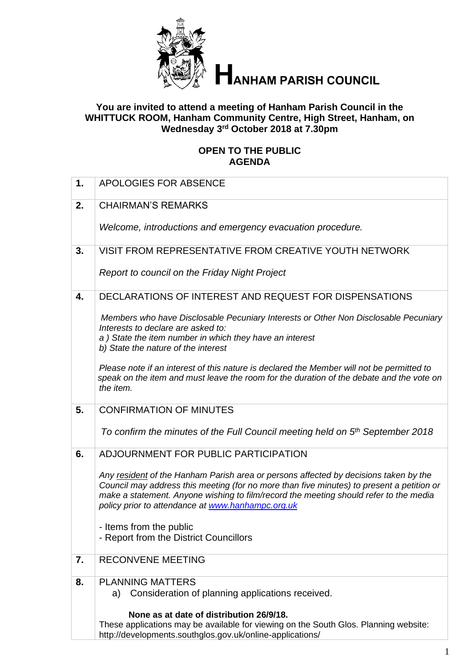

# **ANHAM PARISH COUNCIL**

# **You are invited to attend a meeting of Hanham Parish Council in the WHITTUCK ROOM, Hanham Community Centre, High Street, Hanham, on Wednesday 3 rd October 2018 at 7.30pm**

# **OPEN TO THE PUBLIC AGENDA**

| 1. | <b>APOLOGIES FOR ABSENCE</b>                                                                                                                                                                                                                                                                                                    |
|----|---------------------------------------------------------------------------------------------------------------------------------------------------------------------------------------------------------------------------------------------------------------------------------------------------------------------------------|
| 2. | <b>CHAIRMAN'S REMARKS</b>                                                                                                                                                                                                                                                                                                       |
|    | Welcome, introductions and emergency evacuation procedure.                                                                                                                                                                                                                                                                      |
| 3. | VISIT FROM REPRESENTATIVE FROM CREATIVE YOUTH NETWORK                                                                                                                                                                                                                                                                           |
|    | Report to council on the Friday Night Project                                                                                                                                                                                                                                                                                   |
| 4. | DECLARATIONS OF INTEREST AND REQUEST FOR DISPENSATIONS                                                                                                                                                                                                                                                                          |
|    | Members who have Disclosable Pecuniary Interests or Other Non Disclosable Pecuniary<br>Interests to declare are asked to:<br>a) State the item number in which they have an interest<br>b) State the nature of the interest                                                                                                     |
|    | Please note if an interest of this nature is declared the Member will not be permitted to<br>speak on the item and must leave the room for the duration of the debate and the vote on<br>the item.                                                                                                                              |
| 5. | <b>CONFIRMATION OF MINUTES</b>                                                                                                                                                                                                                                                                                                  |
|    | To confirm the minutes of the Full Council meeting held on 5 <sup>th</sup> September 2018                                                                                                                                                                                                                                       |
| 6. | ADJOURNMENT FOR PUBLIC PARTICIPATION                                                                                                                                                                                                                                                                                            |
|    | Any resident of the Hanham Parish area or persons affected by decisions taken by the<br>Council may address this meeting (for no more than five minutes) to present a petition or<br>make a statement. Anyone wishing to film/record the meeting should refer to the media<br>policy prior to attendance at www.hanhampc.org.uk |
|    | - Items from the public<br>- Report from the District Councillors                                                                                                                                                                                                                                                               |
| 7. | <b>RECONVENE MEETING</b>                                                                                                                                                                                                                                                                                                        |
| 8. | <b>PLANNING MATTERS</b><br>Consideration of planning applications received.<br>a)                                                                                                                                                                                                                                               |
|    | None as at date of distribution 26/9/18.<br>These applications may be available for viewing on the South Glos. Planning website:<br>http://developments.southglos.gov.uk/online-applications/                                                                                                                                   |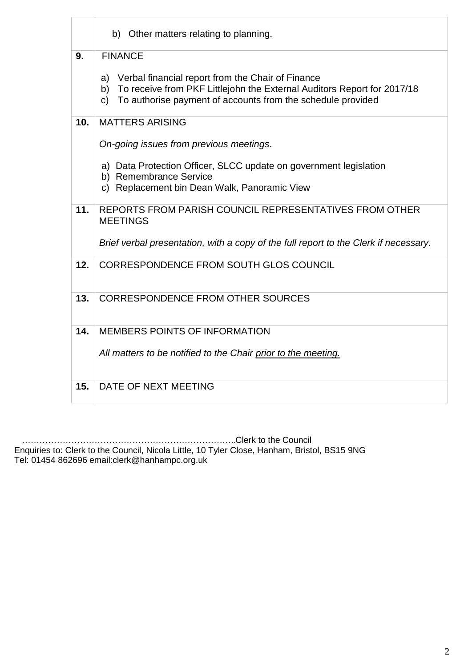|     | b) Other matters relating to planning.                                                                                                                                                                        |  |  |  |
|-----|---------------------------------------------------------------------------------------------------------------------------------------------------------------------------------------------------------------|--|--|--|
| 9.  | <b>FINANCE</b>                                                                                                                                                                                                |  |  |  |
|     | Verbal financial report from the Chair of Finance<br>a)<br>To receive from PKF Littlejohn the External Auditors Report for 2017/18<br>b)<br>To authorise payment of accounts from the schedule provided<br>C) |  |  |  |
| 10. | <b>MATTERS ARISING</b>                                                                                                                                                                                        |  |  |  |
|     | On-going issues from previous meetings.                                                                                                                                                                       |  |  |  |
|     | a) Data Protection Officer, SLCC update on government legislation<br>b) Remembrance Service                                                                                                                   |  |  |  |
|     | c) Replacement bin Dean Walk, Panoramic View                                                                                                                                                                  |  |  |  |
| 11. | REPORTS FROM PARISH COUNCIL REPRESENTATIVES FROM OTHER<br><b>MEETINGS</b>                                                                                                                                     |  |  |  |
|     | Brief verbal presentation, with a copy of the full report to the Clerk if necessary.                                                                                                                          |  |  |  |
| 12. | CORRESPONDENCE FROM SOUTH GLOS COUNCIL                                                                                                                                                                        |  |  |  |
| 13. | <b>CORRESPONDENCE FROM OTHER SOURCES</b>                                                                                                                                                                      |  |  |  |
| 14. | MEMBERS POINTS OF INFORMATION                                                                                                                                                                                 |  |  |  |
|     | All matters to be notified to the Chair prior to the meeting.                                                                                                                                                 |  |  |  |
| 15. | DATE OF NEXT MEETING                                                                                                                                                                                          |  |  |  |

 ………………………………………………………………..Clerk to the Council Enquiries to: Clerk to the Council, Nicola Little, 10 Tyler Close, Hanham, Bristol, BS15 9NG Tel: 01454 862696 email:clerk@hanhampc.org.uk